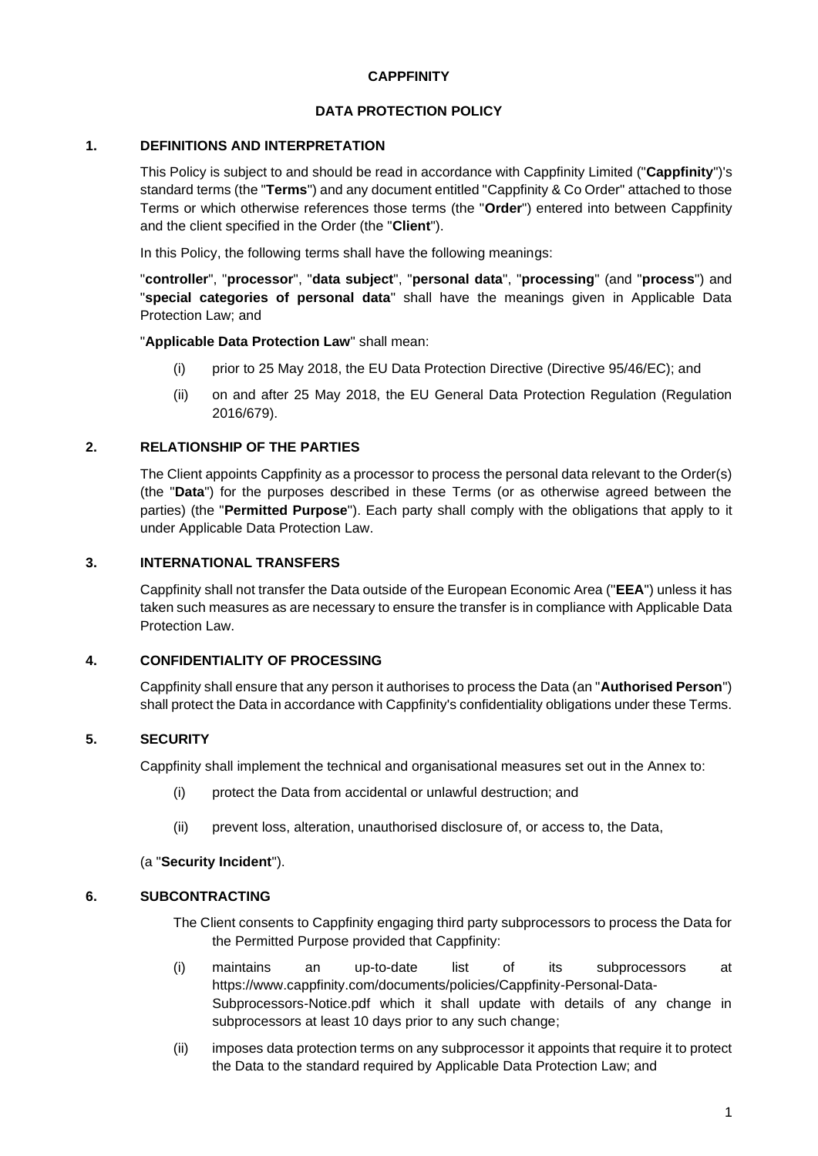### **CAPPFINITY**

## **DATA PROTECTION POLICY**

## **1. DEFINITIONS AND INTERPRETATION**

This Policy is subject to and should be read in accordance with Cappfinity Limited ("**Cappfinity**")'s standard terms (the "**Terms**") and any document entitled "Cappfinity & Co Order" attached to those Terms or which otherwise references those terms (the "**Order**") entered into between Cappfinity and the client specified in the Order (the "**Client**").

In this Policy, the following terms shall have the following meanings:

"**controller**", "**processor**", "**data subject**", "**personal data**", "**processing**" (and "**process**") and "**special categories of personal data**" shall have the meanings given in Applicable Data Protection Law; and

"**Applicable Data Protection Law**" shall mean:

- (i) prior to 25 May 2018, the EU Data Protection Directive (Directive 95/46/EC); and
- (ii) on and after 25 May 2018, the EU General Data Protection Regulation (Regulation 2016/679).

# **2. RELATIONSHIP OF THE PARTIES**

The Client appoints Cappfinity as a processor to process the personal data relevant to the Order(s) (the "**Data**") for the purposes described in these Terms (or as otherwise agreed between the parties) (the "**Permitted Purpose**"). Each party shall comply with the obligations that apply to it under Applicable Data Protection Law.

## **3. INTERNATIONAL TRANSFERS**

Cappfinity shall not transfer the Data outside of the European Economic Area ("**EEA**") unless it has taken such measures as are necessary to ensure the transfer is in compliance with Applicable Data Protection Law.

### **4. CONFIDENTIALITY OF PROCESSING**

Cappfinity shall ensure that any person it authorises to process the Data (an "**Authorised Person**") shall protect the Data in accordance with Cappfinity's confidentiality obligations under these Terms.

# **5. SECURITY**

Cappfinity shall implement the technical and organisational measures set out in the Annex to:

- (i) protect the Data from accidental or unlawful destruction; and
- (ii) prevent loss, alteration, unauthorised disclosure of, or access to, the Data,

### (a "**Security Incident**").

### **6. SUBCONTRACTING**

The Client consents to Cappfinity engaging third party subprocessors to process the Data for the Permitted Purpose provided that Cappfinity:

- (i) maintains an up-to-date list of its subprocessors at [https://www.cappfinity.com/documents/policies/Cappfinity-Personal-Data-](https://www.cappfinity.com/documents/policies/Cappfinity-Personal-Data-Subprocessors-Notice.pdf)[Subprocessors-Notice.pdf](https://www.cappfinity.com/documents/policies/Cappfinity-Personal-Data-Subprocessors-Notice.pdf) which it shall update with details of any change in subprocessors at least 10 days prior to any such change;
- (ii) imposes data protection terms on any subprocessor it appoints that require it to protect the Data to the standard required by Applicable Data Protection Law; and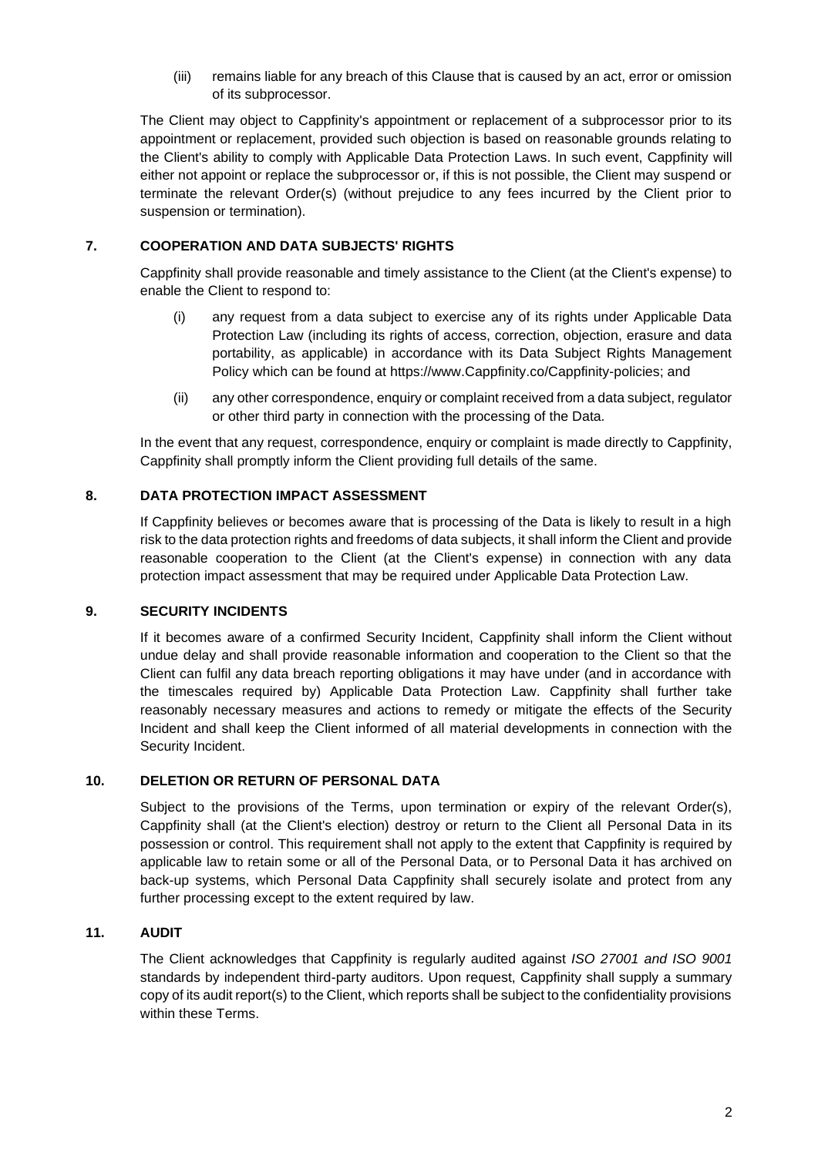(iii) remains liable for any breach of this Clause that is caused by an act, error or omission of its subprocessor.

The Client may object to Cappfinity's appointment or replacement of a subprocessor prior to its appointment or replacement, provided such objection is based on reasonable grounds relating to the Client's ability to comply with Applicable Data Protection Laws. In such event, Cappfinity will either not appoint or replace the subprocessor or, if this is not possible, the Client may suspend or terminate the relevant Order(s) (without prejudice to any fees incurred by the Client prior to suspension or termination).

## **7. COOPERATION AND DATA SUBJECTS' RIGHTS**

Cappfinity shall provide reasonable and timely assistance to the Client (at the Client's expense) to enable the Client to respond to:

- (i) any request from a data subject to exercise any of its rights under Applicable Data Protection Law (including its rights of access, correction, objection, erasure and data portability, as applicable) in accordance with its Data Subject Rights Management Policy which can be found at https://www.Cappfinity.co/Cappfinity-policies; and
- (ii) any other correspondence, enquiry or complaint received from a data subject, regulator or other third party in connection with the processing of the Data.

In the event that any request, correspondence, enquiry or complaint is made directly to Cappfinity, Cappfinity shall promptly inform the Client providing full details of the same.

## **8. DATA PROTECTION IMPACT ASSESSMENT**

If Cappfinity believes or becomes aware that is processing of the Data is likely to result in a high risk to the data protection rights and freedoms of data subjects, it shall inform the Client and provide reasonable cooperation to the Client (at the Client's expense) in connection with any data protection impact assessment that may be required under Applicable Data Protection Law.

### **9. SECURITY INCIDENTS**

If it becomes aware of a confirmed Security Incident, Cappfinity shall inform the Client without undue delay and shall provide reasonable information and cooperation to the Client so that the Client can fulfil any data breach reporting obligations it may have under (and in accordance with the timescales required by) Applicable Data Protection Law. Cappfinity shall further take reasonably necessary measures and actions to remedy or mitigate the effects of the Security Incident and shall keep the Client informed of all material developments in connection with the Security Incident.

### **10. DELETION OR RETURN OF PERSONAL DATA**

Subject to the provisions of the Terms, upon termination or expiry of the relevant Order(s), Cappfinity shall (at the Client's election) destroy or return to the Client all Personal Data in its possession or control. This requirement shall not apply to the extent that Cappfinity is required by applicable law to retain some or all of the Personal Data, or to Personal Data it has archived on back-up systems, which Personal Data Cappfinity shall securely isolate and protect from any further processing except to the extent required by law.

### **11. AUDIT**

The Client acknowledges that Cappfinity is regularly audited against *ISO 27001 and ISO 9001* standards by independent third-party auditors. Upon request, Cappfinity shall supply a summary copy of its audit report(s) to the Client, which reports shall be subject to the confidentiality provisions within these Terms.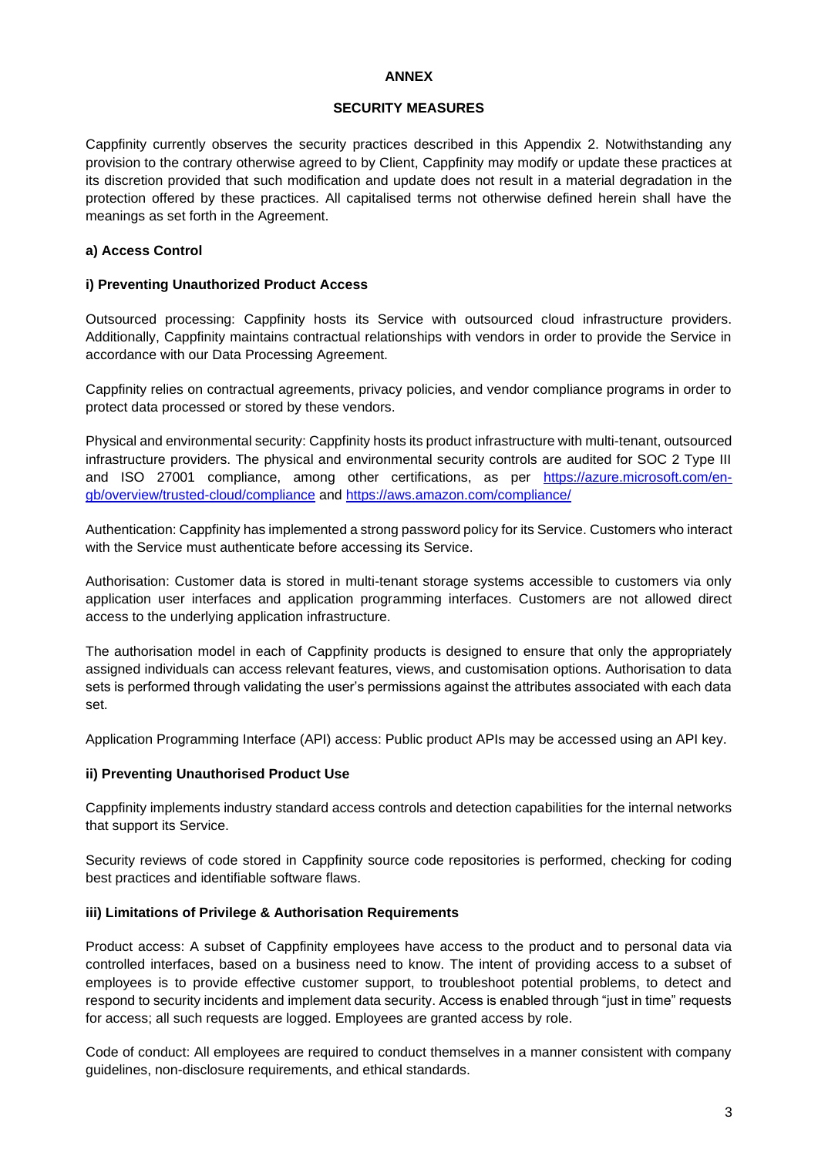#### **ANNEX**

#### **SECURITY MEASURES**

Cappfinity currently observes the security practices described in this Appendix 2. Notwithstanding any provision to the contrary otherwise agreed to by Client, Cappfinity may modify or update these practices at its discretion provided that such modification and update does not result in a material degradation in the protection offered by these practices. All capitalised terms not otherwise defined herein shall have the meanings as set forth in the Agreement.

#### **a) Access Control**

#### **i) Preventing Unauthorized Product Access**

Outsourced processing: Cappfinity hosts its Service with outsourced cloud infrastructure providers. Additionally, Cappfinity maintains contractual relationships with vendors in order to provide the Service in accordance with our Data Processing Agreement.

Cappfinity relies on contractual agreements, privacy policies, and vendor compliance programs in order to protect data processed or stored by these vendors.

Physical and environmental security: Cappfinity hosts its product infrastructure with multi-tenant, outsourced infrastructure providers. The physical and environmental security controls are audited for SOC 2 Type III and ISO 27001 compliance, among other certifications, as per [https://azure.microsoft.com/en](https://azure.microsoft.com/en-gb/overview/trusted-cloud/compliance)[gb/overview/trusted-cloud/compliance](https://azure.microsoft.com/en-gb/overview/trusted-cloud/compliance) and<https://aws.amazon.com/compliance/>

Authentication: Cappfinity has implemented a strong password policy for its Service. Customers who interact with the Service must authenticate before accessing its Service.

Authorisation: Customer data is stored in multi-tenant storage systems accessible to customers via only application user interfaces and application programming interfaces. Customers are not allowed direct access to the underlying application infrastructure.

The authorisation model in each of Cappfinity products is designed to ensure that only the appropriately assigned individuals can access relevant features, views, and customisation options. Authorisation to data sets is performed through validating the user's permissions against the attributes associated with each data set.

Application Programming Interface (API) access: Public product APIs may be accessed using an API key.

### **ii) Preventing Unauthorised Product Use**

Cappfinity implements industry standard access controls and detection capabilities for the internal networks that support its Service.

Security reviews of code stored in Cappfinity source code repositories is performed, checking for coding best practices and identifiable software flaws.

#### **iii) Limitations of Privilege & Authorisation Requirements**

Product access: A subset of Cappfinity employees have access to the product and to personal data via controlled interfaces, based on a business need to know. The intent of providing access to a subset of employees is to provide effective customer support, to troubleshoot potential problems, to detect and respond to security incidents and implement data security. Access is enabled through "just in time" requests for access; all such requests are logged. Employees are granted access by role.

Code of conduct: All employees are required to conduct themselves in a manner consistent with company guidelines, non-disclosure requirements, and ethical standards.